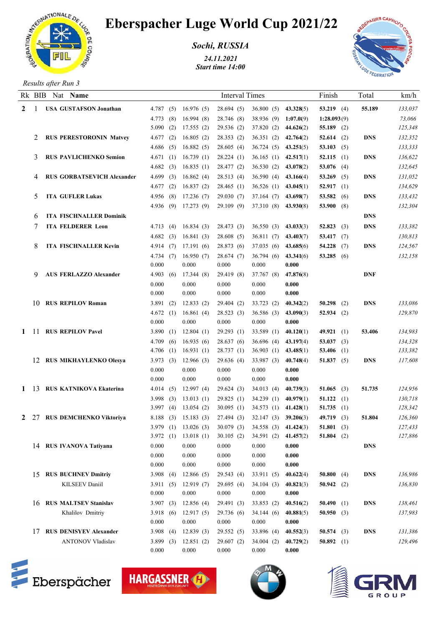

## Eberspacher Luge World Cup 2021/22

*Sochi, RUSSIA*

*24.11.2021 Start time 14:00*



*Results after Run 3*

|             |   | Rk BIB Nat Name                   |              |                                 | <b>Interval Times</b> |                          |           | Finish       | Total      | km/h    |
|-------------|---|-----------------------------------|--------------|---------------------------------|-----------------------|--------------------------|-----------|--------------|------------|---------|
| $2 \quad 1$ |   | <b>USA GUSTAFSON Jonathan</b>     | 4.787(5)     | 16.976(5)                       | 28.694(5)             | $36.800(5)$ $43.328(5)$  |           | 53.219 $(4)$ | 55.189     | 133,037 |
|             |   |                                   | 4.773<br>(8) | 16.994(8)                       | 28.746 (8)            | 38.936 (9) 1:07.0(9)     |           | 1:28.093(9)  |            | 73,066  |
|             |   |                                   | 5.090(2)     | 17.555(2)                       | 29.536 (2)            | 37.820 (2) $44.626(2)$   |           | 55.189 $(2)$ |            | 125,348 |
|             | 2 | <b>RUS PERESTORONIN Matvey</b>    | 4.677(2)     | 16.805(2)                       | 28.353(2)             | 36.351 (2) 42.764(2)     |           | 52.614 $(2)$ | <b>DNS</b> | 132,352 |
|             |   |                                   | 4.686(5)     | 16.882(5)                       | 28.605(4)             | $36.724(5)$ $43.251(5)$  |           | 53.103 $(5)$ |            | 133,333 |
|             | 3 | <b>RUS PAVLICHENKO Semion</b>     | 4.671(1)     | 16.739(1)                       | 28.224(1)             | 36.165 (1) $42.517(1)$   |           | 52.115 $(1)$ | <b>DNS</b> | 136,622 |
|             |   |                                   | (3)<br>4.682 | 16.835(1)                       | 28.477 (2)            | 36.530 (2) 43.078(2)     |           | 53.076 $(4)$ |            | 132,645 |
|             |   | <b>RUS GORBATSEVICH Alexander</b> | 4.699(3)     | 16.862(4)                       | 28.513(4)             | $36.590(4)$ $43.166(4)$  |           | 53.269 $(5)$ | <b>DNS</b> | 131,052 |
|             |   |                                   | 4.677(2)     | 16.837(2)                       | 28.465(1)             | $36.526$ (1) $43.045(1)$ |           | 52.917 $(1)$ |            | 134,629 |
|             | 5 | <b>ITA GUFLER Lukas</b>           | 4.956(8)     | 17.236(7)                       | 29.030(7)             | $37.164(7)$ $43.698(7)$  |           | 53.582 (6)   | <b>DNS</b> | 133,432 |
|             |   |                                   | 4.936(9)     | 17.273(9)                       | 29.109(9)             | 37.310 (8) 43.930(8)     |           | 53.900 $(8)$ |            | 132,304 |
|             | 6 | <b>ITA FISCHNALLER Dominik</b>    |              |                                 |                       |                          |           |              | <b>DNS</b> |         |
|             | 7 | <b>ITA FELDERER Leon</b>          | 4.713(4)     | 16.834(3)                       | 28.473(3)             | $36.550(3)$ $43.033(3)$  |           | 52.823(3)    | <b>DNS</b> | 133,382 |
|             |   |                                   | 4.682(3)     | 16.841(3)                       | 28.608(5)             | $36.811(7)$ $43.403(7)$  |           | 53.417 $(7)$ |            | 130,813 |
|             | 8 | <b>ITA FISCHNALLER Kevin</b>      | 4.914 $(7)$  | 17.191(6)                       | 28.873 (6)            | 37.035(6)                | 43.685(6) | 54.228 $(7)$ | <b>DNS</b> | 124,567 |
|             |   |                                   | 4.734(7)     | 16.950(7)                       | 28.674(7)             | 36.794(6)                | 43.341(6) | 53.285 (6)   |            | 132,158 |
|             |   |                                   | 0.000        | 0.000                           | 0.000                 | 0.000                    | 0.000     |              |            |         |
|             | 9 | <b>AUS FERLAZZO Alexander</b>     | 4.903(6)     | 17.344 (8)                      | 29.419 (8)            | 37.767 (8)               | 47.876(8) |              | <b>DNF</b> |         |
|             |   |                                   | 0.000        | 0.000                           | 0.000                 | 0.000                    | 0.000     |              |            |         |
|             |   |                                   | 0.000        | 0.000                           | 0.000                 | 0.000                    | 0.000     |              |            |         |
|             |   | 10 RUS REPILOV Roman              | 3.891(2)     | 12.833(2)                       | 29.404(2)             | 33.723(2)                | 40.342(2) | $50.298$ (2) | <b>DNS</b> | 133,086 |
|             |   |                                   | 4.672(1)     | 16.861(4)                       | 28.523(3)             | 36.586(3)                | 43.090(3) | $52.934$ (2) |            | 129,870 |
|             |   |                                   | 0.000        | 0.000                           | 0.000                 | 0.000                    | 0.000     |              |            |         |
| 1 11        |   | <b>RUS REPILOV Pavel</b>          | 3.890(1)     | 12.804(1)                       | 29.293(1)             | 33.589 (1)               | 40.120(1) | 49.921 $(1)$ | 53.406     | 134,983 |
|             |   |                                   | 4.709(6)     | 16.935(6)                       | 28.637(6)             | 36.696(4)                | 43.197(4) | 53.037 (3)   |            | 134,328 |
|             |   |                                   | 4.706(1)     | 16.931(1)                       | 28.737(1)             | 36.903 (1) $43.485(1)$   |           | 53.406 $(1)$ |            | 133,382 |
|             |   | 12 RUS MIKHAYLENKO Olesya         | 3.973(3)     | 12.966(3)                       | 29.636(4)             | 33.987 (3)               | 40.748(4) | 51.837 $(5)$ | <b>DNS</b> | 117,608 |
|             |   |                                   | 0.000        | 0.000                           | 0.000                 | 0.000                    | 0.000     |              |            |         |
|             |   |                                   | 0.000        | 0.000                           | 0.000                 | 0.000                    | 0.000     |              |            |         |
| 1 13        |   | RUS KATNIKOVA Ekaterina           | 4.014(5)     | 12.997(4)                       | 29.624(3)             | 34.013(4)                | 40.739(3) | 51.065 $(3)$ | 51.735     | 124,956 |
|             |   |                                   | 3.998(3)     | 13.013(1)                       | 29.825(1)             | 34.239(1)                | 40.979(1) | 51.122 $(1)$ |            | 130,718 |
|             |   |                                   | 3.997 $(4)$  | 13.054(2)                       | 30.095(1)             | 34.573 (1) 41.428(1)     |           | 51.735 $(1)$ |            | 128,342 |
|             |   | 2 27 RUS DEMCHENKO Viktoriya      |              | 8.188 (3) 15.183 (3) 27.494 (3) |                       | $32.147(3)$ $39.206(3)$  |           | 49.719 $(3)$ | 51.804     | 126,360 |
|             |   |                                   | 3.979 $(1)$  | 13.026(3)                       | 30.079(3)             | 34.558 (3) 41.424(3)     |           | 51.801 (3)   |            | 127,433 |
|             |   |                                   | 3.972(1)     | 13.018(1)                       | 30.105(2)             | 34.591(2)                | 41.457(2) | 51.804 $(2)$ |            | 127,886 |
|             |   | 14 RUS IVANOVA Tativana           | 0.000        | 0.000                           | 0.000                 | 0.000                    | 0.000     |              | <b>DNS</b> |         |
|             |   |                                   | 0.000        | 0.000                           | 0.000                 | 0.000                    | 0.000     |              |            |         |
|             |   |                                   | 0.000        | 0.000                           | 0.000                 | 0.000                    | 0.000     |              |            |         |
|             |   | 15 RUS BUCHNEV Dmitriy            | 3.908 $(4)$  | 12.866(5)                       | 29.543(4)             | 33.911(5)                | 40.622(4) | 50.800 $(4)$ | <b>DNS</b> | 136,986 |
|             |   | KILSEEV Daniil                    | 3.911(5)     | 12.919(7)                       | 29.695(4)             | 34.104(3)                | 40.821(3) | 50.942 $(2)$ |            | 136,830 |
|             |   |                                   | 0.000        | 0.000                           | 0.000                 | 0.000                    | 0.000     |              |            |         |
|             |   | 16 RUS MALTSEV Stanislav          | 3.907(3)     | 12.856(4)                       | 29.491(3)             | 33.853(2)                | 40.516(2) | 50.490 $(1)$ | <b>DNS</b> | 138,461 |
|             |   | Khalilov Dmitriy                  | 3.918(6)     | 12.917(5)                       | 29.736 (6)            | 34.144(6)                | 40.881(5) | 50.950 $(3)$ |            | 137,983 |
|             |   |                                   | 0.000        | 0.000                           | 0.000                 | 0.000                    | 0.000     |              |            |         |
|             |   | 17 RUS DENISYEV Alexander         | 3.908 $(4)$  | 12.839(3)                       | 29.552(5)             | 33.896 (4)               | 40.552(3) | 50.574 $(3)$ | <b>DNS</b> | 131,386 |
|             |   | <b>ANTONOV Vladislav</b>          | 3.899(3)     | 12.851(2)                       | 29.607(2)             | 34.004(2)                | 40.729(2) | 50.892 $(1)$ |            | 129,496 |
|             |   |                                   | 0.000        | 0.000                           | 0.000                 | 0.000                    | 0.000     |              |            |         |